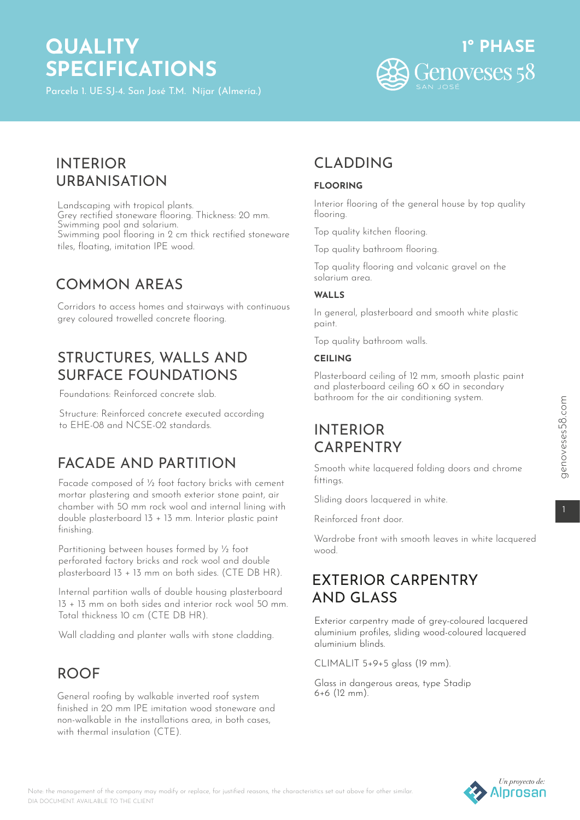# **QUALITY SPECIFICATIONS**

Parcela 1. UE-SJ-4. San José T.M. Níjar (Almería.)



# INTERIOR URBANISATION

Landscaping with tropical plants. Grey rectified stoneware flooring. Thickness: 20 mm. Swimming pool and solarium. Swimming pool flooring in 2 cm thick rectified stoneware tiles, floating, imitation IPE wood.

# COMMON AREAS

Corridors to access homes and stairways with continuous grey coloured trowelled concrete flooring.

### STRUCTURES, WALLS AND SURFACE FOUNDATIONS

Foundations: Reinforced concrete slab.

Structure: Reinforced concrete executed according to EHE-08 and NCSE-02 standards.

# FACADE AND PARTITION

Facade composed of ½ foot factory bricks with cement mortar plastering and smooth exterior stone paint, air chamber with 50 mm rock wool and internal lining with double plasterboard 13 + 13 mm. Interior plastic paint finishing.

Partitioning between houses formed by ½ foot perforated factory bricks and rock wool and double plasterboard 13 + 13 mm on both sides. (CTE DB HR).

Internal partition walls of double housing plasterboard 13 + 13 mm on both sides and interior rock wool 50 mm. Total thickness 10 cm (CTE DB HR).

Wall cladding and planter walls with stone cladding.

# ROOF

General roofing by walkable inverted roof system finished in 20 mm IPE imitation wood stoneware and non-walkable in the installations area, in both cases, with thermal insulation (CTF).

# CLADDING

### **FLOORING**

Interior flooring of the general house by top quality flooring.

Top quality kitchen flooring.

Top quality bathroom flooring.

Top quality flooring and volcanic gravel on the solarium area.

#### **WALLS**

In general, plasterboard and smooth white plastic paint.

Top quality bathroom walls.

### **CEILING**

Plasterboard ceiling of 12 mm, smooth plastic paint and plasterboard ceiling 60 x 60 in secondary bathroom for the air conditioning system.

# INTERIOR CARPENTRY

Smooth white lacquered folding doors and chrome fittings.

Sliding doors lacquered in white.

Reinforced front door.

Wardrobe front with smooth leaves in white lacquered wood.

### EXTERIOR CARPENTRY AND GLASS

Exterior carpentry made of grey-coloured lacquered aluminium profiles, sliding wood-coloured lacquered aluminium blinds.

CLIMALIT 5+9+5 glass (19 mm).

Glass in dangerous areas, type Stadip 6+6 (12 mm).